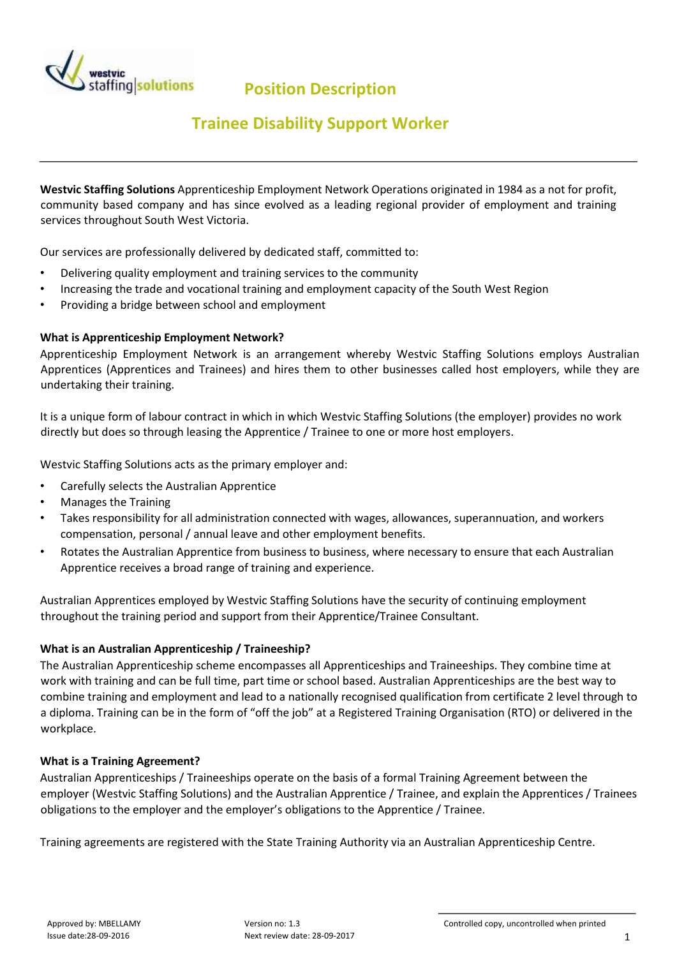

**Position Description** 

## **Trainee Disability Support Worker**

**Westvic Staffing Solutions** Apprenticeship Employment Network Operations originated in 1984 as a not for profit, community based company and has since evolved as a leading regional provider of employment and training services throughout South West Victoria.

Our services are professionally delivered by dedicated staff, committed to:

- Delivering quality employment and training services to the community
- Increasing the trade and vocational training and employment capacity of the South West Region
- Providing a bridge between school and employment

## **What is Apprenticeship Employment Network?**

Apprenticeship Employment Network is an arrangement whereby Westvic Staffing Solutions employs Australian Apprentices (Apprentices and Trainees) and hires them to other businesses called host employers, while they are undertaking their training.

It is a unique form of labour contract in which in which Westvic Staffing Solutions (the employer) provides no work directly but does so through leasing the Apprentice / Trainee to one or more host employers.

Westvic Staffing Solutions acts as the primary employer and:

- Carefully selects the Australian Apprentice
- Manages the Training
- Takes responsibility for all administration connected with wages, allowances, superannuation, and workers compensation, personal / annual leave and other employment benefits.
- Rotates the Australian Apprentice from business to business, where necessary to ensure that each Australian Apprentice receives a broad range of training and experience.

Australian Apprentices employed by Westvic Staffing Solutions have the security of continuing employment throughout the training period and support from their Apprentice/Trainee Consultant.

## **What is an Australian Apprenticeship / Traineeship?**

The Australian Apprenticeship scheme encompasses all Apprenticeships and Traineeships. They combine time at work with training and can be full time, part time or school based. Australian Apprenticeships are the best way to combine training and employment and lead to a nationally recognised qualification from certificate 2 level through to a diploma. Training can be in the form of "off the job" at a Registered Training Organisation (RTO) or delivered in the workplace.

## **What is a Training Agreement?**

Australian Apprenticeships / Traineeships operate on the basis of a formal Training Agreement between the employer (Westvic Staffing Solutions) and the Australian Apprentice / Trainee, and explain the Apprentices / Trainees obligations to the employer and the employer's obligations to the Apprentice / Trainee.

Training agreements are registered with the State Training Authority via an Australian Apprenticeship Centre.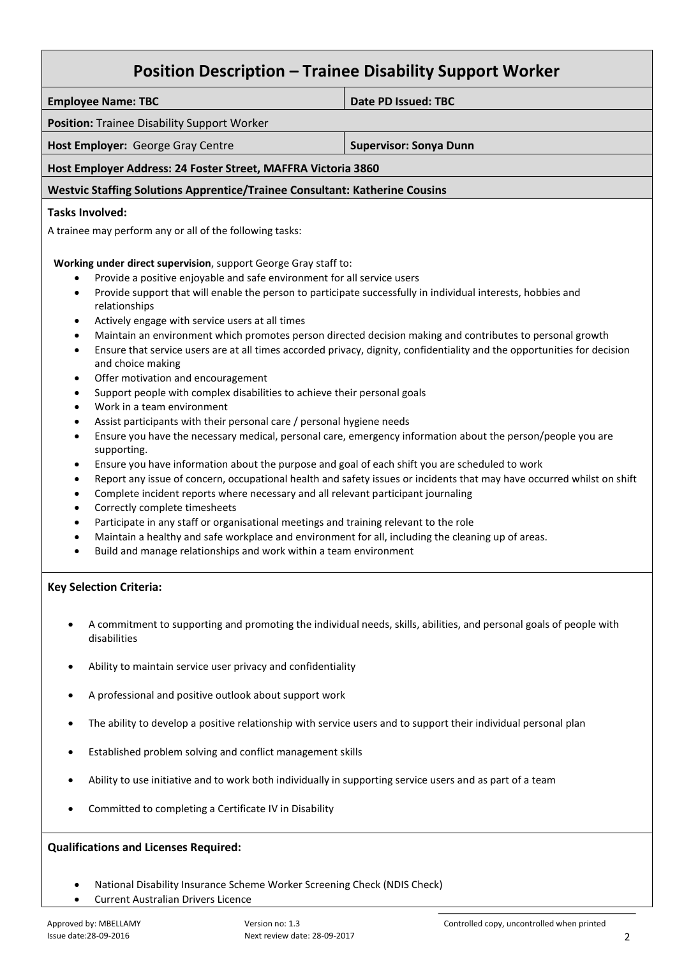| <b>Position Description - Trainee Disability Support Worker</b>                                                                                                                                                                                                                                                                                                                                                                                                                                                                                                                                                                                                                                                                                                                                                                                                                                                                                                                                                                                                                                                                                                                                                                                                                                              |                                                                                                                                                                                                                                                                                                                                                                                                                                                                                |
|--------------------------------------------------------------------------------------------------------------------------------------------------------------------------------------------------------------------------------------------------------------------------------------------------------------------------------------------------------------------------------------------------------------------------------------------------------------------------------------------------------------------------------------------------------------------------------------------------------------------------------------------------------------------------------------------------------------------------------------------------------------------------------------------------------------------------------------------------------------------------------------------------------------------------------------------------------------------------------------------------------------------------------------------------------------------------------------------------------------------------------------------------------------------------------------------------------------------------------------------------------------------------------------------------------------|--------------------------------------------------------------------------------------------------------------------------------------------------------------------------------------------------------------------------------------------------------------------------------------------------------------------------------------------------------------------------------------------------------------------------------------------------------------------------------|
| <b>Employee Name: TBC</b>                                                                                                                                                                                                                                                                                                                                                                                                                                                                                                                                                                                                                                                                                                                                                                                                                                                                                                                                                                                                                                                                                                                                                                                                                                                                                    | <b>Date PD Issued: TBC</b>                                                                                                                                                                                                                                                                                                                                                                                                                                                     |
| Position: Trainee Disability Support Worker                                                                                                                                                                                                                                                                                                                                                                                                                                                                                                                                                                                                                                                                                                                                                                                                                                                                                                                                                                                                                                                                                                                                                                                                                                                                  |                                                                                                                                                                                                                                                                                                                                                                                                                                                                                |
| Host Employer: George Gray Centre                                                                                                                                                                                                                                                                                                                                                                                                                                                                                                                                                                                                                                                                                                                                                                                                                                                                                                                                                                                                                                                                                                                                                                                                                                                                            | <b>Supervisor: Sonya Dunn</b>                                                                                                                                                                                                                                                                                                                                                                                                                                                  |
| Host Employer Address: 24 Foster Street, MAFFRA Victoria 3860                                                                                                                                                                                                                                                                                                                                                                                                                                                                                                                                                                                                                                                                                                                                                                                                                                                                                                                                                                                                                                                                                                                                                                                                                                                |                                                                                                                                                                                                                                                                                                                                                                                                                                                                                |
| <b>Westvic Staffing Solutions Apprentice/Trainee Consultant: Katherine Cousins</b>                                                                                                                                                                                                                                                                                                                                                                                                                                                                                                                                                                                                                                                                                                                                                                                                                                                                                                                                                                                                                                                                                                                                                                                                                           |                                                                                                                                                                                                                                                                                                                                                                                                                                                                                |
| <b>Tasks Involved:</b>                                                                                                                                                                                                                                                                                                                                                                                                                                                                                                                                                                                                                                                                                                                                                                                                                                                                                                                                                                                                                                                                                                                                                                                                                                                                                       |                                                                                                                                                                                                                                                                                                                                                                                                                                                                                |
| A trainee may perform any or all of the following tasks:                                                                                                                                                                                                                                                                                                                                                                                                                                                                                                                                                                                                                                                                                                                                                                                                                                                                                                                                                                                                                                                                                                                                                                                                                                                     |                                                                                                                                                                                                                                                                                                                                                                                                                                                                                |
| Working under direct supervision, support George Gray staff to:<br>Provide a positive enjoyable and safe environment for all service users<br>$\bullet$<br>Provide support that will enable the person to participate successfully in individual interests, hobbies and<br>$\bullet$<br>relationships<br>Actively engage with service users at all times<br>$\bullet$<br>$\bullet$<br>$\bullet$<br>and choice making<br>Offer motivation and encouragement<br>٠<br>Support people with complex disabilities to achieve their personal goals<br>$\bullet$<br>Work in a team environment<br>$\bullet$<br>Assist participants with their personal care / personal hygiene needs<br>$\bullet$<br>$\bullet$<br>supporting.<br>Ensure you have information about the purpose and goal of each shift you are scheduled to work<br>$\bullet$<br>$\bullet$<br>Complete incident reports where necessary and all relevant participant journaling<br>$\bullet$<br>Correctly complete timesheets<br>$\bullet$<br>Participate in any staff or organisational meetings and training relevant to the role<br>$\bullet$<br>Maintain a healthy and safe workplace and environment for all, including the cleaning up of areas.<br>$\bullet$<br>Build and manage relationships and work within a team environment<br>$\bullet$ | Maintain an environment which promotes person directed decision making and contributes to personal growth<br>Ensure that service users are at all times accorded privacy, dignity, confidentiality and the opportunities for decision<br>Ensure you have the necessary medical, personal care, emergency information about the person/people you are<br>Report any issue of concern, occupational health and safety issues or incidents that may have occurred whilst on shift |
| <b>Key Selection Criteria:</b>                                                                                                                                                                                                                                                                                                                                                                                                                                                                                                                                                                                                                                                                                                                                                                                                                                                                                                                                                                                                                                                                                                                                                                                                                                                                               |                                                                                                                                                                                                                                                                                                                                                                                                                                                                                |
| disabilities                                                                                                                                                                                                                                                                                                                                                                                                                                                                                                                                                                                                                                                                                                                                                                                                                                                                                                                                                                                                                                                                                                                                                                                                                                                                                                 | A commitment to supporting and promoting the individual needs, skills, abilities, and personal goals of people with                                                                                                                                                                                                                                                                                                                                                            |
| Ability to maintain service user privacy and confidentiality<br>٠                                                                                                                                                                                                                                                                                                                                                                                                                                                                                                                                                                                                                                                                                                                                                                                                                                                                                                                                                                                                                                                                                                                                                                                                                                            |                                                                                                                                                                                                                                                                                                                                                                                                                                                                                |
| A professional and positive outlook about support work<br>٠                                                                                                                                                                                                                                                                                                                                                                                                                                                                                                                                                                                                                                                                                                                                                                                                                                                                                                                                                                                                                                                                                                                                                                                                                                                  |                                                                                                                                                                                                                                                                                                                                                                                                                                                                                |
| The ability to develop a positive relationship with service users and to support their individual personal plan<br>$\bullet$                                                                                                                                                                                                                                                                                                                                                                                                                                                                                                                                                                                                                                                                                                                                                                                                                                                                                                                                                                                                                                                                                                                                                                                 |                                                                                                                                                                                                                                                                                                                                                                                                                                                                                |
| Established problem solving and conflict management skills<br>٠                                                                                                                                                                                                                                                                                                                                                                                                                                                                                                                                                                                                                                                                                                                                                                                                                                                                                                                                                                                                                                                                                                                                                                                                                                              |                                                                                                                                                                                                                                                                                                                                                                                                                                                                                |
| Ability to use initiative and to work both individually in supporting service users and as part of a team                                                                                                                                                                                                                                                                                                                                                                                                                                                                                                                                                                                                                                                                                                                                                                                                                                                                                                                                                                                                                                                                                                                                                                                                    |                                                                                                                                                                                                                                                                                                                                                                                                                                                                                |
| Committed to completing a Certificate IV in Disability                                                                                                                                                                                                                                                                                                                                                                                                                                                                                                                                                                                                                                                                                                                                                                                                                                                                                                                                                                                                                                                                                                                                                                                                                                                       |                                                                                                                                                                                                                                                                                                                                                                                                                                                                                |

**Qualifications and Licenses Required:** 

- National Disability Insurance Scheme Worker Screening Check (NDIS Check)
- Current Australian Drivers Licence

 $\mathsf{r}$